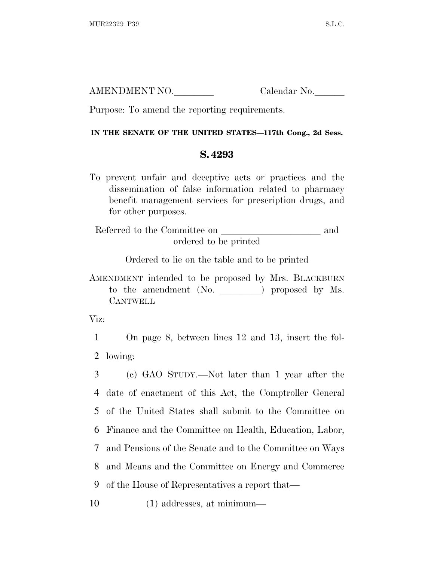AMENDMENT NO. Calendar No.

Purpose: To amend the reporting requirements.

## **IN THE SENATE OF THE UNITED STATES—117th Cong., 2d Sess.**

## **S. 4293**

To prevent unfair and deceptive acts or practices and the dissemination of false information related to pharmacy benefit management services for prescription drugs, and for other purposes.

Referred to the Committee on and ordered to be printed

Ordered to lie on the table and to be printed

AMENDMENT intended to be proposed by Mrs. BLACKBURN to the amendment  $(No.$   $\qquad)$  proposed by Ms. **CANTWELL** 

Viz:

1 On page 8, between lines 12 and 13, insert the fol-2 lowing:

 (c) GAO STUDY.—Not later than 1 year after the date of enactment of this Act, the Comptroller General of the United States shall submit to the Committee on Finance and the Committee on Health, Education, Labor, and Pensions of the Senate and to the Committee on Ways and Means and the Committee on Energy and Commerce of the House of Representatives a report that—

10 (1) addresses, at minimum—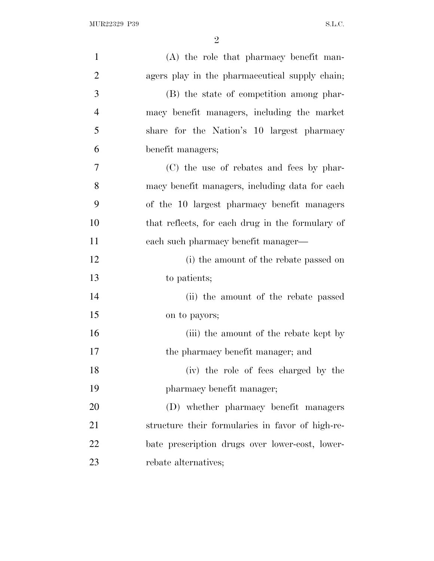| $\mathbf{1}$   | (A) the role that pharmacy benefit man-          |
|----------------|--------------------------------------------------|
| $\overline{2}$ | agers play in the pharmaceutical supply chain;   |
| 3              | (B) the state of competition among phar-         |
| $\overline{4}$ | macy benefit managers, including the market      |
| 5              | share for the Nation's 10 largest pharmacy       |
| 6              | benefit managers;                                |
| $\overline{7}$ | (C) the use of rebates and fees by phar-         |
| 8              | macy benefit managers, including data for each   |
| 9              | of the 10 largest pharmacy benefit managers      |
| 10             | that reflects, for each drug in the formulary of |
| 11             | each such pharmacy benefit manager—              |
| 12             | (i) the amount of the rebate passed on           |
| 13             | to patients;                                     |
| 14             | (ii) the amount of the rebate passed             |
| 15             | on to payors;                                    |
| 16             | (iii) the amount of the rebate kept by           |
| 17             | the pharmacy benefit manager; and                |
| 18             | (iv) the role of fees charged by the             |
| 19             | pharmacy benefit manager;                        |
| 20             | (D) whether pharmacy benefit managers            |
| 21             | structure their formularies in favor of high-re- |
| 22             | bate prescription drugs over lower-cost, lower-  |
| 23             | rebate alternatives;                             |